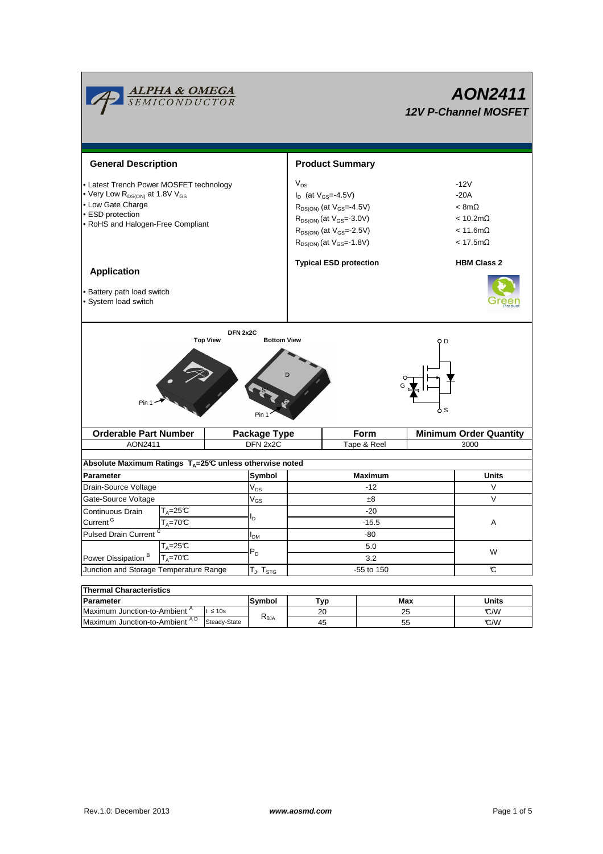

| Thermal Unaracteristics                  |              |                   |                 |     |              |  |  |  |  |
|------------------------------------------|--------------|-------------------|-----------------|-----|--------------|--|--|--|--|
| <b>Parameter</b>                         |              | Symbol            | T <sub>VD</sub> | Max | <b>Units</b> |  |  |  |  |
| Maximum Junction-to-Ambient <sup>A</sup> | $\leq 10s$   |                   | 20              | 25  | C/W          |  |  |  |  |
| A D<br>Maximum Junction-to-Ambient       | Steady-State | $\pi_{\theta}$ JA | 45              | 5t  | C/W          |  |  |  |  |
|                                          |              |                   |                 |     |              |  |  |  |  |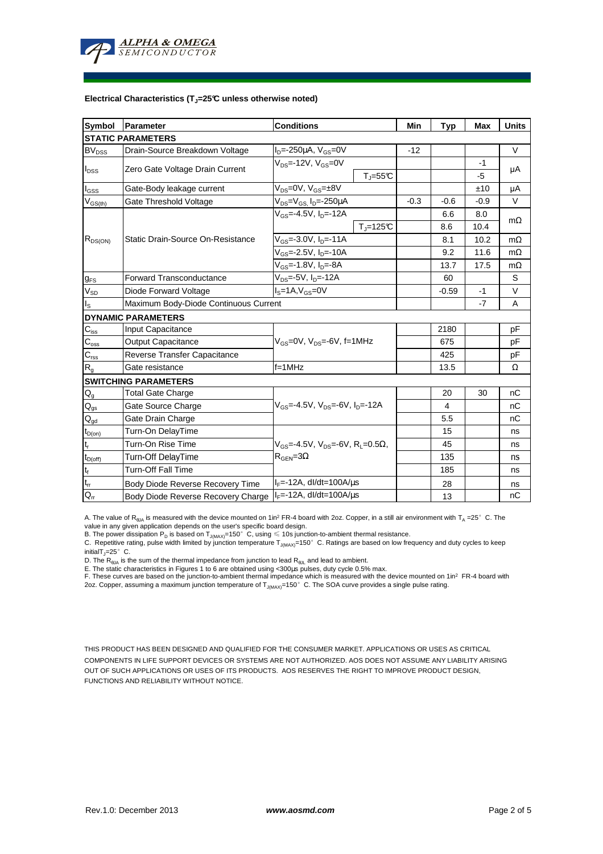

### **Electrical Characteristics (TJ=25°C unless otherwise noted)**

| Symbol                                     | Parameter                                                              | <b>Conditions</b>                                              |                       | Min     | <b>Typ</b>     | <b>Max</b> | <b>Units</b> |  |  |  |  |
|--------------------------------------------|------------------------------------------------------------------------|----------------------------------------------------------------|-----------------------|---------|----------------|------------|--------------|--|--|--|--|
| <b>STATIC PARAMETERS</b>                   |                                                                        |                                                                |                       |         |                |            |              |  |  |  |  |
| <b>BV<sub>DSS</sub></b>                    | Drain-Source Breakdown Voltage                                         | $I_D = -250 \mu A$ , $V_{GS} = 0V$                             |                       | $-12$   |                |            | V            |  |  |  |  |
|                                            |                                                                        | $V_{DS}$ =-12V, $V_{GS}$ =0V                                   |                       |         |                | $-1$       | μA           |  |  |  |  |
| $I_{\text{DSS}}$                           | Zero Gate Voltage Drain Current                                        |                                                                | $T_{J} = 55^{\circ}C$ |         |                | $-5$       |              |  |  |  |  |
| $I_{GSS}$                                  | Gate-Body leakage current                                              | $V_{DS} = 0V$ , $V_{GS} = \pm 8V$                              |                       |         |                | ±10        | μA           |  |  |  |  |
| $\mathsf{V}_{\mathsf{GS}(\underline{th})}$ | Gate Threshold Voltage                                                 | $V_{DS} = V_{GS}$ , $I_D = -250 \mu A$                         |                       | $-0.3$  | $-0.6$         | $-0.9$     | $\vee$       |  |  |  |  |
| $R_{DS(ON)}$                               | Static Drain-Source On-Resistance                                      | $V_{GS}$ =-4.5V, $I_{D}$ =-12A                                 |                       |         | 6.6            | 8.0        | $m\Omega$    |  |  |  |  |
|                                            |                                                                        |                                                                | $T_i = 125^\circ C$   |         | 8.6            | 10.4       |              |  |  |  |  |
|                                            |                                                                        | $V_{GS} = -3.0 V, I_{D} = -11 A$                               |                       |         | 8.1            | 10.2       | $m\Omega$    |  |  |  |  |
|                                            |                                                                        | $V_{GS}$ =-2.5V, $I_{D}$ =-10A                                 |                       |         | 9.2            | 11.6       | $m\Omega$    |  |  |  |  |
|                                            |                                                                        | V <sub>GS</sub> =-1.8V, I <sub>D</sub> =-8A                    |                       | 13.7    | 17.5           | $m\Omega$  |              |  |  |  |  |
| <b>g</b> <sub>FS</sub>                     | <b>Forward Transconductance</b>                                        | $V_{DS} = -5V$ , $I_{D} = -12A$                                |                       | 60      |                | S          |              |  |  |  |  |
| $V_{SD}$                                   | Diode Forward Voltage                                                  | $IS=1A, VGS=0V$                                                |                       | $-0.59$ | $-1$           | $\vee$     |              |  |  |  |  |
| $I_{\rm S}$                                | Maximum Body-Diode Continuous Current                                  |                                                                |                       |         |                | $-7$       | A            |  |  |  |  |
|                                            | <b>DYNAMIC PARAMETERS</b>                                              |                                                                |                       |         |                |            |              |  |  |  |  |
| $C_{iss}$                                  | Input Capacitance                                                      |                                                                |                       |         | 2180           |            | pF           |  |  |  |  |
| $C_{\rm oss}$                              | <b>Output Capacitance</b>                                              | $V_{GS}$ =0V, $V_{DS}$ =-6V, f=1MHz                            |                       |         | 675            |            | рF           |  |  |  |  |
| $C_{\text{rss}}$                           | Reverse Transfer Capacitance                                           |                                                                |                       |         | 425            |            | рF           |  |  |  |  |
| $R_{g}$                                    | Gate resistance                                                        | $f = 1$ MHz                                                    |                       | 13.5    |                | Ω          |              |  |  |  |  |
|                                            | <b>SWITCHING PARAMETERS</b>                                            |                                                                |                       |         |                |            |              |  |  |  |  |
| $\mathsf{Q}_{\mathsf{g}}$                  | <b>Total Gate Charge</b>                                               | $V_{GS}$ =-4.5V, $V_{DS}$ =-6V, $I_{D}$ =-12A                  |                       |         | 20             | 30         | nC           |  |  |  |  |
| $\mathsf{Q}_{\text{gs}}$                   | Gate Source Charge                                                     |                                                                |                       |         | $\overline{4}$ |            | nC           |  |  |  |  |
| $Q_{gd}$                                   | Gate Drain Charge                                                      |                                                                |                       |         | 5.5            |            | nC           |  |  |  |  |
| $t_{D(on)}$                                | Turn-On DelayTime                                                      |                                                                |                       |         | 15             |            | ns           |  |  |  |  |
| $\mathsf{t}_{\mathsf{r}}$                  | Turn-On Rise Time                                                      | $V_{GS}$ =-4.5V, $V_{DS}$ =-6V, R <sub>1</sub> =0.5 $\Omega$ , |                       |         | 45             |            | ns           |  |  |  |  |
| $t_{D(off)}$                               | Turn-Off DelayTime                                                     | $R_{\text{GEN}} = 3\Omega$                                     |                       |         | 135            |            | ns           |  |  |  |  |
| $\mathbf{t}_\text{f}$                      | <b>Turn-Off Fall Time</b>                                              |                                                                |                       | 185     |                | ns         |              |  |  |  |  |
| $\mathfrak{t}_{\text{rr}}$                 | Body Diode Reverse Recovery Time                                       | $I_F = -12A$ , dl/dt=100A/ $\mu$ s                             |                       | 28      |                | ns         |              |  |  |  |  |
| $Q_{rr}$                                   | $I_F$ =-12A, dl/dt=100A/ $\mu$ s<br>Body Diode Reverse Recovery Charge |                                                                |                       |         | 13             |            | nC           |  |  |  |  |

A. The value of R<sub>BJA</sub> is measured with the device mounted on 1in<sup>2</sup> FR-4 board with 2oz. Copper, in a still air environment with T<sub>A</sub> =25°C. The

value in any given application depends on the user's specific board design.<br>B. The power dissipation P<sub>D</sub> is based on T<sub>J(MAX)</sub>=150°C, using ≤ 10s junction-to-ambient thermal resistance.

C. Repetitive rating, pulse width limited by junction temperature  $T_{J(MAX)}$ =150°C. Ratings are based on low frequency and duty cycles to keep initialT $j=25^\circ$  C.

D. The  $R_{\thetaJA}$  is the sum of the thermal impedance from junction to lead  $R_{\thetaJL}$  and lead to ambient.

E. The static characteristics in Figures 1 to 6 are obtained using <300µs pulses, duty cycle 0.5% max.<br>F. These curves are based on the junction-to-ambient thermal impedance which is measured with the device mounted on 1in

THIS PRODUCT HAS BEEN DESIGNED AND QUALIFIED FOR THE CONSUMER MARKET. APPLICATIONS OR USES AS CRITICAL COMPONENTS IN LIFE SUPPORT DEVICES OR SYSTEMS ARE NOT AUTHORIZED. AOS DOES NOT ASSUME ANY LIABILITY ARISING OUT OF SUCH APPLICATIONS OR USES OF ITS PRODUCTS. AOS RESERVES THE RIGHT TO IMPROVE PRODUCT DESIGN, FUNCTIONS AND RELIABILITY WITHOUT NOTICE.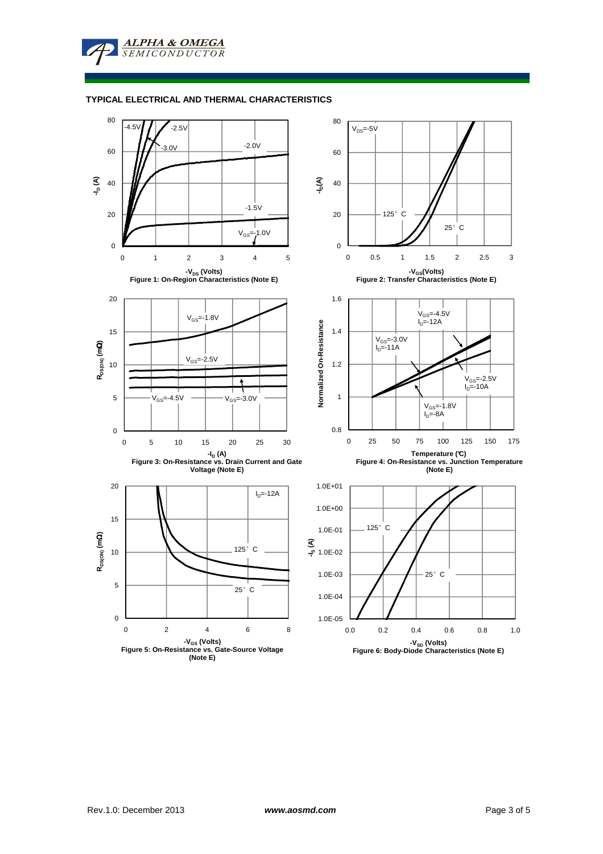**ALPHA & OMEGA SEMICONDUCTOR** 

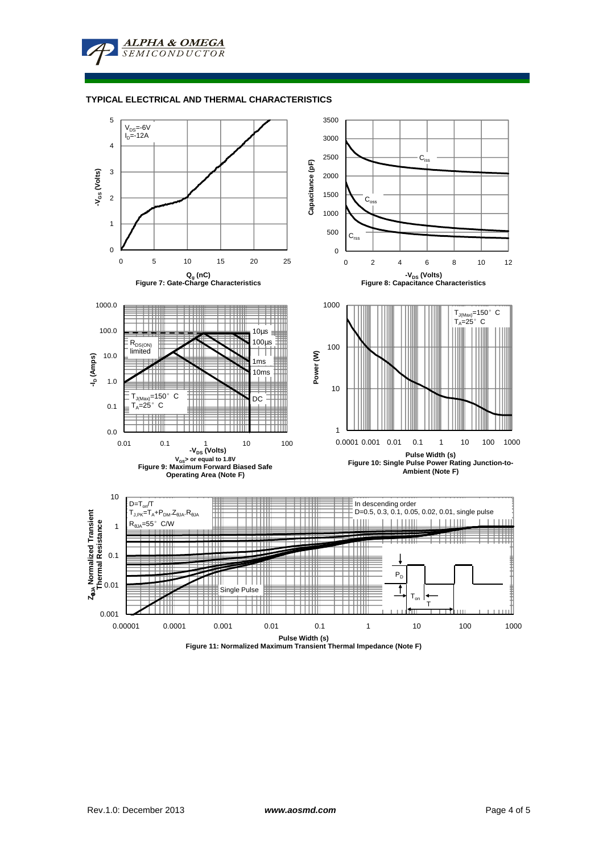**ALPHA & OMEGA** SEMICONDUCTOR

### **TYPICAL ELECTRICAL AND THERMAL CHARACTERISTICS**